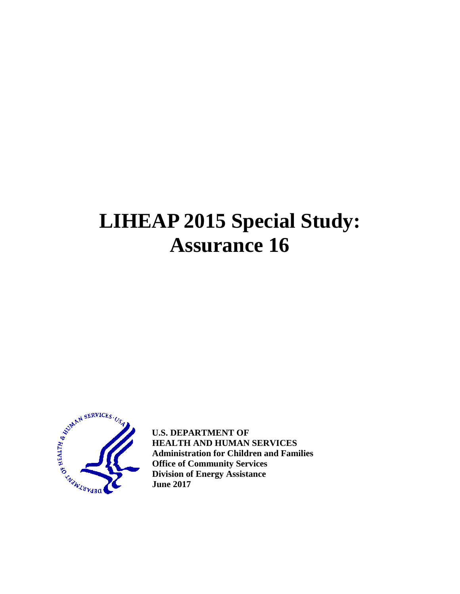# **LIHEAP 2015 Special Study: Assurance 16**



**U.S. DEPARTMENT OF HEALTH AND HUMAN SERVICES Administration for Children and Families Office of Community Services Division of Energy Assistance June 2017**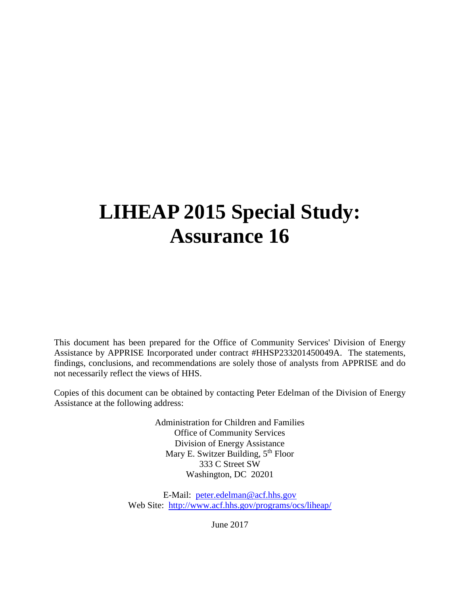# **LIHEAP 2015 Special Study: Assurance 16**

This document has been prepared for the Office of Community Services' Division of Energy Assistance by APPRISE Incorporated under contract #HHSP233201450049A. The statements, findings, conclusions, and recommendations are solely those of analysts from APPRISE and do not necessarily reflect the views of HHS.

Copies of this document can be obtained by contacting Peter Edelman of the Division of Energy Assistance at the following address:

> Administration for Children and Families Office of Community Services Division of Energy Assistance Mary E. Switzer Building, 5<sup>th</sup> Floor 333 C Street SW Washington, DC 20201

E-Mail: [peter.edelman@acf.hhs.gov](mailto:peter.edelman@acf.hhs.gov) Web Site: <http://www.acf.hhs.gov/programs/ocs/liheap/>

June 2017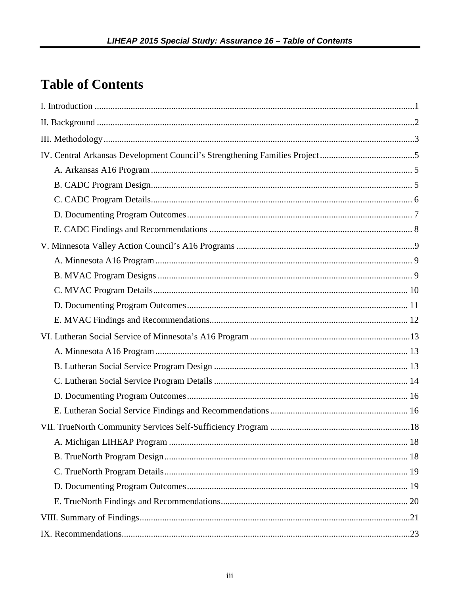# **Table of Contents**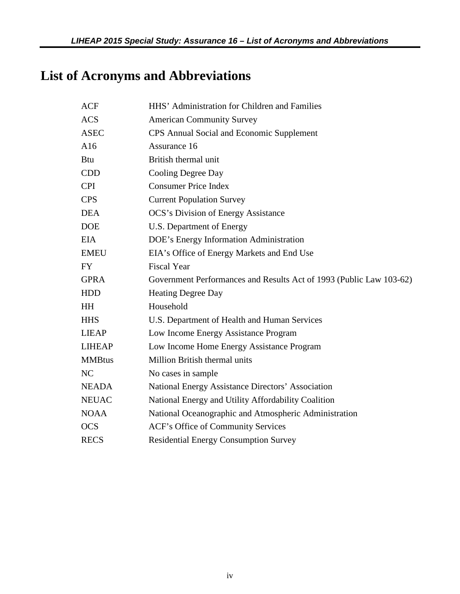# **List of Acronyms and Abbreviations**

| <b>ACF</b>     | HHS' Administration for Children and Families                       |
|----------------|---------------------------------------------------------------------|
| <b>ACS</b>     | <b>American Community Survey</b>                                    |
| <b>ASEC</b>    | CPS Annual Social and Economic Supplement                           |
| A16            | Assurance 16                                                        |
| <b>Btu</b>     | British thermal unit                                                |
| <b>CDD</b>     | Cooling Degree Day                                                  |
| <b>CPI</b>     | <b>Consumer Price Index</b>                                         |
| <b>CPS</b>     | <b>Current Population Survey</b>                                    |
| <b>DEA</b>     | <b>OCS's Division of Energy Assistance</b>                          |
| <b>DOE</b>     | U.S. Department of Energy                                           |
| <b>EIA</b>     | DOE's Energy Information Administration                             |
| <b>EMEU</b>    | EIA's Office of Energy Markets and End Use                          |
| <b>FY</b>      | <b>Fiscal Year</b>                                                  |
| <b>GPRA</b>    | Government Performances and Results Act of 1993 (Public Law 103-62) |
| <b>HDD</b>     | <b>Heating Degree Day</b>                                           |
| <b>HH</b>      | Household                                                           |
| <b>HHS</b>     | U.S. Department of Health and Human Services                        |
| <b>LIEAP</b>   | Low Income Energy Assistance Program                                |
| <b>LIHEAP</b>  | Low Income Home Energy Assistance Program                           |
| <b>MMBtus</b>  | Million British thermal units                                       |
| N <sub>C</sub> | No cases in sample                                                  |
| <b>NEADA</b>   | National Energy Assistance Directors' Association                   |
| <b>NEUAC</b>   | National Energy and Utility Affordability Coalition                 |
| <b>NOAA</b>    | National Oceanographic and Atmospheric Administration               |
| <b>OCS</b>     | ACF's Office of Community Services                                  |
| <b>RECS</b>    | <b>Residential Energy Consumption Survey</b>                        |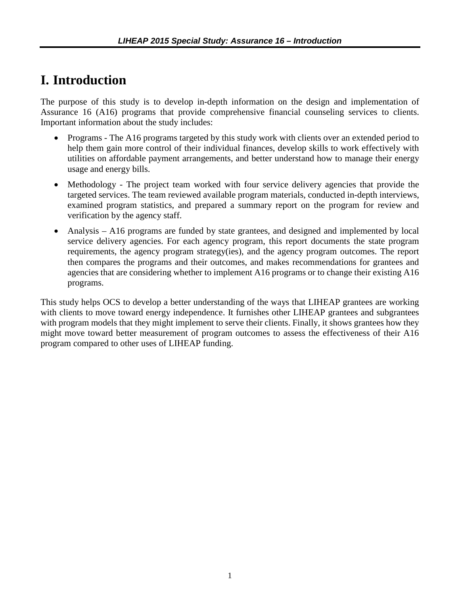## <span id="page-4-0"></span>**I. Introduction**

The purpose of this study is to develop in-depth information on the design and implementation of Assurance 16 (A16) programs that provide comprehensive financial counseling services to clients. Important information about the study includes:

- Programs The A16 programs targeted by this study work with clients over an extended period to help them gain more control of their individual finances, develop skills to work effectively with utilities on affordable payment arrangements, and better understand how to manage their energy usage and energy bills.
- Methodology The project team worked with four service delivery agencies that provide the targeted services. The team reviewed available program materials, conducted in-depth interviews, examined program statistics, and prepared a summary report on the program for review and verification by the agency staff.
- Analysis A16 programs are funded by state grantees, and designed and implemented by local service delivery agencies. For each agency program, this report documents the state program requirements, the agency program strategy(ies), and the agency program outcomes. The report then compares the programs and their outcomes, and makes recommendations for grantees and agencies that are considering whether to implement A16 programs or to change their existing A16 programs.

This study helps OCS to develop a better understanding of the ways that LIHEAP grantees are working with clients to move toward energy independence. It furnishes other LIHEAP grantees and subgrantees with program models that they might implement to serve their clients. Finally, it shows grantees how they might move toward better measurement of program outcomes to assess the effectiveness of their A16 program compared to other uses of LIHEAP funding.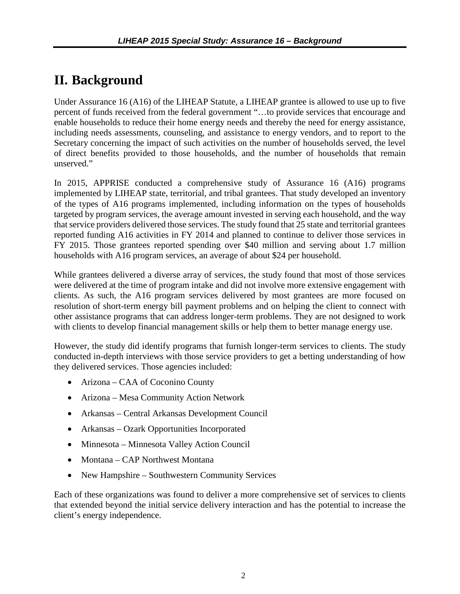# <span id="page-5-0"></span>**II. Background**

Under Assurance 16 (A16) of the LIHEAP Statute, a LIHEAP grantee is allowed to use up to five percent of funds received from the federal government "…to provide services that encourage and enable households to reduce their home energy needs and thereby the need for energy assistance, including needs assessments, counseling, and assistance to energy vendors, and to report to the Secretary concerning the impact of such activities on the number of households served, the level of direct benefits provided to those households, and the number of households that remain unserved."

In 2015, APPRISE conducted a comprehensive study of Assurance 16 (A16) programs implemented by LIHEAP state, territorial, and tribal grantees. That study developed an inventory of the types of A16 programs implemented, including information on the types of households targeted by program services, the average amount invested in serving each household, and the way that service providers delivered those services. The study found that 25 state and territorial grantees reported funding A16 activities in FY 2014 and planned to continue to deliver those services in FY 2015. Those grantees reported spending over \$40 million and serving about 1.7 million households with A16 program services, an average of about \$24 per household.

While grantees delivered a diverse array of services, the study found that most of those services were delivered at the time of program intake and did not involve more extensive engagement with clients. As such, the A16 program services delivered by most grantees are more focused on resolution of short-term energy bill payment problems and on helping the client to connect with other assistance programs that can address longer-term problems. They are not designed to work with clients to develop financial management skills or help them to better manage energy use.

However, the study did identify programs that furnish longer-term services to clients. The study conducted in-depth interviews with those service providers to get a betting understanding of how they delivered services. Those agencies included:

- Arizona CAA of Coconino County
- Arizona Mesa Community Action Network
- Arkansas Central Arkansas Development Council
- Arkansas Ozark Opportunities Incorporated
- Minnesota Minnesota Valley Action Council
- Montana CAP Northwest Montana
- New Hampshire Southwestern Community Services

Each of these organizations was found to deliver a more comprehensive set of services to clients that extended beyond the initial service delivery interaction and has the potential to increase the client's energy independence.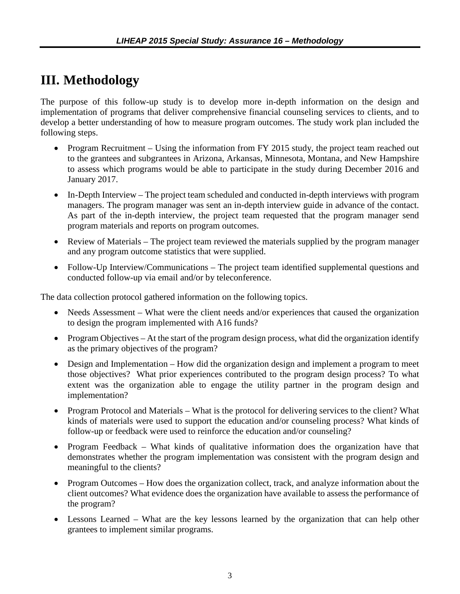# <span id="page-6-0"></span>**III. Methodology**

The purpose of this follow-up study is to develop more in-depth information on the design and implementation of programs that deliver comprehensive financial counseling services to clients, and to develop a better understanding of how to measure program outcomes. The study work plan included the following steps.

- Program Recruitment Using the information from FY 2015 study, the project team reached out to the grantees and subgrantees in Arizona, Arkansas, Minnesota, Montana, and New Hampshire to assess which programs would be able to participate in the study during December 2016 and January 2017.
- In-Depth Interview The project team scheduled and conducted in-depth interviews with program managers. The program manager was sent an in-depth interview guide in advance of the contact. As part of the in-depth interview, the project team requested that the program manager send program materials and reports on program outcomes.
- Review of Materials The project team reviewed the materials supplied by the program manager and any program outcome statistics that were supplied.
- Follow-Up Interview/Communications The project team identified supplemental questions and conducted follow-up via email and/or by teleconference.

The data collection protocol gathered information on the following topics.

- Needs Assessment What were the client needs and/or experiences that caused the organization to design the program implemented with A16 funds?
- Program Objectives At the start of the program design process, what did the organization identify as the primary objectives of the program?
- Design and Implementation How did the organization design and implement a program to meet those objectives? What prior experiences contributed to the program design process? To what extent was the organization able to engage the utility partner in the program design and implementation?
- Program Protocol and Materials What is the protocol for delivering services to the client? What kinds of materials were used to support the education and/or counseling process? What kinds of follow-up or feedback were used to reinforce the education and/or counseling?
- Program Feedback What kinds of qualitative information does the organization have that demonstrates whether the program implementation was consistent with the program design and meaningful to the clients?
- Program Outcomes How does the organization collect, track, and analyze information about the client outcomes? What evidence does the organization have available to assess the performance of the program?
- Lessons Learned What are the key lessons learned by the organization that can help other grantees to implement similar programs.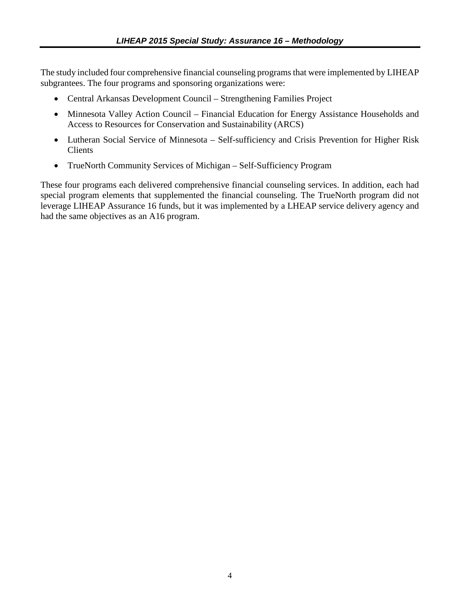The study included four comprehensive financial counseling programs that were implemented by LIHEAP subgrantees. The four programs and sponsoring organizations were:

- Central Arkansas Development Council Strengthening Families Project
- Minnesota Valley Action Council Financial Education for Energy Assistance Households and Access to Resources for Conservation and Sustainability (ARCS)
- Lutheran Social Service of Minnesota Self-sufficiency and Crisis Prevention for Higher Risk Clients
- TrueNorth Community Services of Michigan Self-Sufficiency Program

These four programs each delivered comprehensive financial counseling services. In addition, each had special program elements that supplemented the financial counseling. The TrueNorth program did not leverage LIHEAP Assurance 16 funds, but it was implemented by a LHEAP service delivery agency and had the same objectives as an A16 program.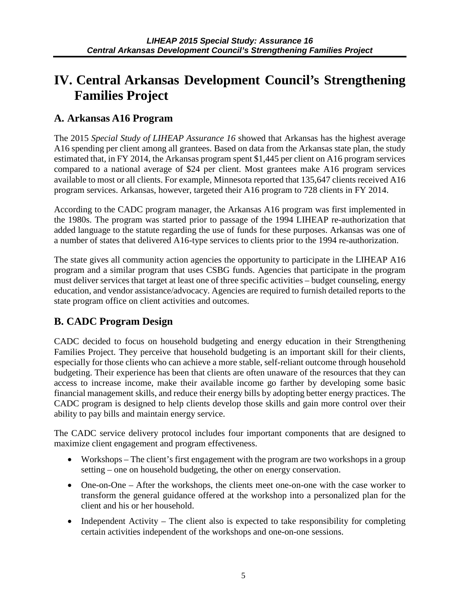## <span id="page-8-0"></span>**IV. Central Arkansas Development Council's Strengthening Families Project**

#### **A. Arkansas A16 Program**

The 2015 *Special Study of LIHEAP Assurance 16* showed that Arkansas has the highest average A16 spending per client among all grantees. Based on data from the Arkansas state plan, the study estimated that, in FY 2014, the Arkansas program spent \$1,445 per client on A16 program services compared to a national average of \$24 per client. Most grantees make A16 program services available to most or all clients. For example, Minnesota reported that 135,647 clients received A16 program services. Arkansas, however, targeted their A16 program to 728 clients in FY 2014.

According to the CADC program manager, the Arkansas A16 program was first implemented in the 1980s. The program was started prior to passage of the 1994 LIHEAP re-authorization that added language to the statute regarding the use of funds for these purposes. Arkansas was one of a number of states that delivered A16-type services to clients prior to the 1994 re-authorization.

The state gives all community action agencies the opportunity to participate in the LIHEAP A16 program and a similar program that uses CSBG funds. Agencies that participate in the program must deliver services that target at least one of three specific activities – budget counseling, energy education, and vendor assistance/advocacy. Agencies are required to furnish detailed reports to the state program office on client activities and outcomes.

#### **B. CADC Program Design**

CADC decided to focus on household budgeting and energy education in their Strengthening Families Project. They perceive that household budgeting is an important skill for their clients, especially for those clients who can achieve a more stable, self-reliant outcome through household budgeting. Their experience has been that clients are often unaware of the resources that they can access to increase income, make their available income go farther by developing some basic financial management skills, and reduce their energy bills by adopting better energy practices. The CADC program is designed to help clients develop those skills and gain more control over their ability to pay bills and maintain energy service.

The CADC service delivery protocol includes four important components that are designed to maximize client engagement and program effectiveness.

- Workshops The client's first engagement with the program are two workshops in a group setting – one on household budgeting, the other on energy conservation.
- One-on-One After the workshops, the clients meet one-on-one with the case worker to transform the general guidance offered at the workshop into a personalized plan for the client and his or her household.
- Independent Activity The client also is expected to take responsibility for completing certain activities independent of the workshops and one-on-one sessions.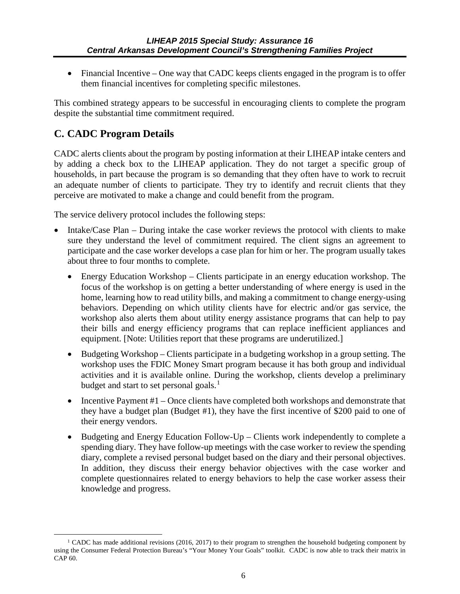<span id="page-9-0"></span>• Financial Incentive – One way that CADC keeps clients engaged in the program is to offer them financial incentives for completing specific milestones.

This combined strategy appears to be successful in encouraging clients to complete the program despite the substantial time commitment required.

#### **C. CADC Program Details**

 $\overline{a}$ 

CADC alerts clients about the program by posting information at their LIHEAP intake centers and by adding a check box to the LIHEAP application. They do not target a specific group of households, in part because the program is so demanding that they often have to work to recruit an adequate number of clients to participate. They try to identify and recruit clients that they perceive are motivated to make a change and could benefit from the program.

The service delivery protocol includes the following steps:

- Intake/Case Plan During intake the case worker reviews the protocol with clients to make sure they understand the level of commitment required. The client signs an agreement to participate and the case worker develops a case plan for him or her. The program usually takes about three to four months to complete.
	- Energy Education Workshop Clients participate in an energy education workshop. The focus of the workshop is on getting a better understanding of where energy is used in the home, learning how to read utility bills, and making a commitment to change energy-using behaviors. Depending on which utility clients have for electric and/or gas service, the workshop also alerts them about utility energy assistance programs that can help to pay their bills and energy efficiency programs that can replace inefficient appliances and equipment. [Note: Utilities report that these programs are underutilized.]
	- Budgeting Workshop Clients participate in a budgeting workshop in a group setting. The workshop uses the FDIC Money Smart program because it has both group and individual activities and it is available online. During the workshop, clients develop a preliminary budget and start to set personal goals.<sup>[1](#page-9-1)</sup>
	- Incentive Payment  $#1$  Once clients have completed both workshops and demonstrate that they have a budget plan (Budget #1), they have the first incentive of \$200 paid to one of their energy vendors.
	- Budgeting and Energy Education Follow-Up Clients work independently to complete a spending diary. They have follow-up meetings with the case worker to review the spending diary, complete a revised personal budget based on the diary and their personal objectives. In addition, they discuss their energy behavior objectives with the case worker and complete questionnaires related to energy behaviors to help the case worker assess their knowledge and progress.

<span id="page-9-1"></span><sup>&</sup>lt;sup>1</sup> CADC has made additional revisions (2016, 2017) to their program to strengthen the household budgeting component by using the Consumer Federal Protection Bureau's "Your Money Your Goals" toolkit. CADC is now able to track their matrix in CAP 60.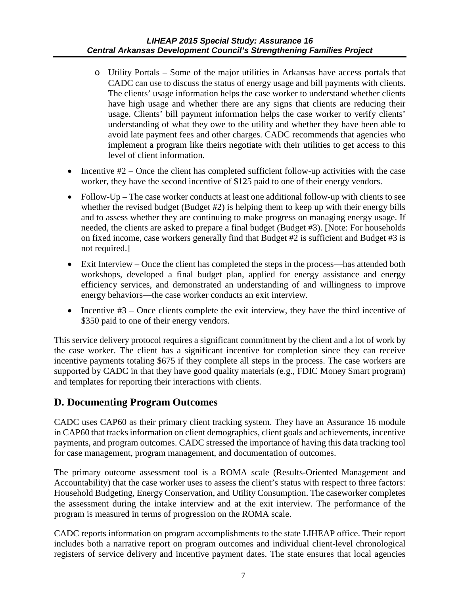- o Utility Portals Some of the major utilities in Arkansas have access portals that CADC can use to discuss the status of energy usage and bill payments with clients. The clients' usage information helps the case worker to understand whether clients have high usage and whether there are any signs that clients are reducing their usage. Clients' bill payment information helps the case worker to verify clients' understanding of what they owe to the utility and whether they have been able to avoid late payment fees and other charges. CADC recommends that agencies who implement a program like theirs negotiate with their utilities to get access to this level of client information.
- Incentive  $#2$  Once the client has completed sufficient follow-up activities with the case worker, they have the second incentive of \$125 paid to one of their energy vendors.
- Follow-Up The case worker conducts at least one additional follow-up with clients to see whether the revised budget (Budget #2) is helping them to keep up with their energy bills and to assess whether they are continuing to make progress on managing energy usage. If needed, the clients are asked to prepare a final budget (Budget #3). [Note: For households on fixed income, case workers generally find that Budget #2 is sufficient and Budget #3 is not required.]
- Exit Interview Once the client has completed the steps in the process—has attended both workshops, developed a final budget plan, applied for energy assistance and energy efficiency services, and demonstrated an understanding of and willingness to improve energy behaviors—the case worker conducts an exit interview.
- Incentive  $#3$  Once clients complete the exit interview, they have the third incentive of \$350 paid to one of their energy vendors.

This service delivery protocol requires a significant commitment by the client and a lot of work by the case worker. The client has a significant incentive for completion since they can receive incentive payments totaling \$675 if they complete all steps in the process. The case workers are supported by CADC in that they have good quality materials (e.g., FDIC Money Smart program) and templates for reporting their interactions with clients.

#### **D. Documenting Program Outcomes**

CADC uses CAP60 as their primary client tracking system. They have an Assurance 16 module in CAP60 that tracks information on client demographics, client goals and achievements, incentive payments, and program outcomes. CADC stressed the importance of having this data tracking tool for case management, program management, and documentation of outcomes.

The primary outcome assessment tool is a ROMA scale (Results-Oriented Management and Accountability) that the case worker uses to assess the client's status with respect to three factors: Household Budgeting, Energy Conservation, and Utility Consumption. The caseworker completes the assessment during the intake interview and at the exit interview. The performance of the program is measured in terms of progression on the ROMA scale.

CADC reports information on program accomplishments to the state LIHEAP office. Their report includes both a narrative report on program outcomes and individual client-level chronological registers of service delivery and incentive payment dates. The state ensures that local agencies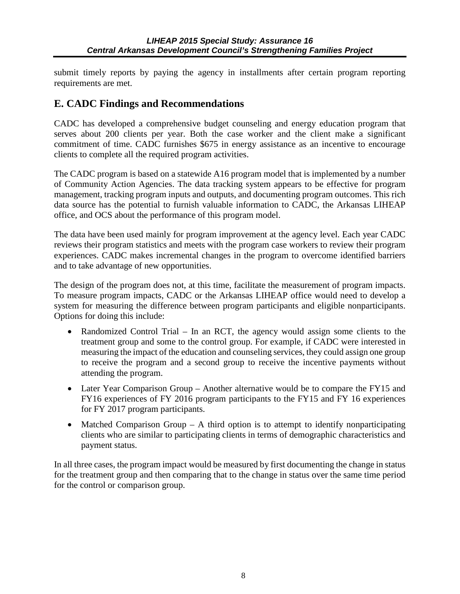<span id="page-11-0"></span>submit timely reports by paying the agency in installments after certain program reporting requirements are met.

#### **E. CADC Findings and Recommendations**

CADC has developed a comprehensive budget counseling and energy education program that serves about 200 clients per year. Both the case worker and the client make a significant commitment of time. CADC furnishes \$675 in energy assistance as an incentive to encourage clients to complete all the required program activities.

The CADC program is based on a statewide A16 program model that is implemented by a number of Community Action Agencies. The data tracking system appears to be effective for program management, tracking program inputs and outputs, and documenting program outcomes. This rich data source has the potential to furnish valuable information to CADC, the Arkansas LIHEAP office, and OCS about the performance of this program model.

The data have been used mainly for program improvement at the agency level. Each year CADC reviews their program statistics and meets with the program case workers to review their program experiences. CADC makes incremental changes in the program to overcome identified barriers and to take advantage of new opportunities.

The design of the program does not, at this time, facilitate the measurement of program impacts. To measure program impacts, CADC or the Arkansas LIHEAP office would need to develop a system for measuring the difference between program participants and eligible nonparticipants. Options for doing this include:

- Randomized Control Trial In an RCT, the agency would assign some clients to the treatment group and some to the control group. For example, if CADC were interested in measuring the impact of the education and counseling services, they could assign one group to receive the program and a second group to receive the incentive payments without attending the program.
- Later Year Comparison Group Another alternative would be to compare the FY15 and FY16 experiences of FY 2016 program participants to the FY15 and FY 16 experiences for FY 2017 program participants.
- Matched Comparison Group  $A$  third option is to attempt to identify nonparticipating clients who are similar to participating clients in terms of demographic characteristics and payment status.

In all three cases, the program impact would be measured by first documenting the change in status for the treatment group and then comparing that to the change in status over the same time period for the control or comparison group.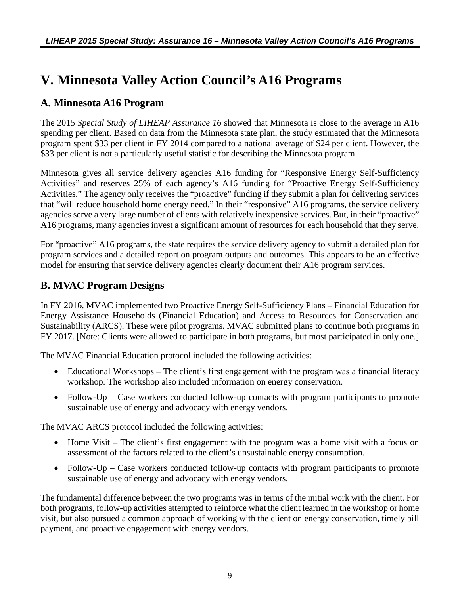## <span id="page-12-0"></span>**V. Minnesota Valley Action Council's A16 Programs**

#### **A. Minnesota A16 Program**

The 2015 *Special Study of LIHEAP Assurance 16* showed that Minnesota is close to the average in A16 spending per client. Based on data from the Minnesota state plan, the study estimated that the Minnesota program spent \$33 per client in FY 2014 compared to a national average of \$24 per client. However, the \$33 per client is not a particularly useful statistic for describing the Minnesota program.

Minnesota gives all service delivery agencies A16 funding for "Responsive Energy Self-Sufficiency Activities" and reserves 25% of each agency's A16 funding for "Proactive Energy Self-Sufficiency Activities." The agency only receives the "proactive" funding if they submit a plan for delivering services that "will reduce household home energy need." In their "responsive" A16 programs, the service delivery agencies serve a very large number of clients with relatively inexpensive services. But, in their "proactive" A16 programs, many agencies invest a significant amount of resources for each household that they serve.

For "proactive" A16 programs, the state requires the service delivery agency to submit a detailed plan for program services and a detailed report on program outputs and outcomes. This appears to be an effective model for ensuring that service delivery agencies clearly document their A16 program services.

#### **B. MVAC Program Designs**

In FY 2016, MVAC implemented two Proactive Energy Self-Sufficiency Plans – Financial Education for Energy Assistance Households (Financial Education) and Access to Resources for Conservation and Sustainability (ARCS). These were pilot programs. MVAC submitted plans to continue both programs in FY 2017. [Note: Clients were allowed to participate in both programs, but most participated in only one.]

The MVAC Financial Education protocol included the following activities:

- Educational Workshops The client's first engagement with the program was a financial literacy workshop. The workshop also included information on energy conservation.
- Follow-Up Case workers conducted follow-up contacts with program participants to promote sustainable use of energy and advocacy with energy vendors.

The MVAC ARCS protocol included the following activities:

- Home Visit The client's first engagement with the program was a home visit with a focus on assessment of the factors related to the client's unsustainable energy consumption.
- Follow-Up Case workers conducted follow-up contacts with program participants to promote sustainable use of energy and advocacy with energy vendors.

The fundamental difference between the two programs was in terms of the initial work with the client. For both programs, follow-up activities attempted to reinforce what the client learned in the workshop or home visit, but also pursued a common approach of working with the client on energy conservation, timely bill payment, and proactive engagement with energy vendors.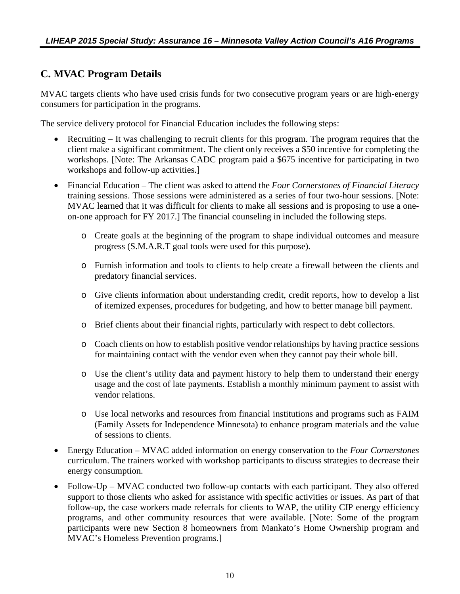#### <span id="page-13-0"></span>**C. MVAC Program Details**

MVAC targets clients who have used crisis funds for two consecutive program years or are high-energy consumers for participation in the programs.

The service delivery protocol for Financial Education includes the following steps:

- Recruiting It was challenging to recruit clients for this program. The program requires that the client make a significant commitment. The client only receives a \$50 incentive for completing the workshops. [Note: The Arkansas CADC program paid a \$675 incentive for participating in two workshops and follow-up activities.]
- Financial Education The client was asked to attend the *Four Cornerstones of Financial Literacy*  training sessions. Those sessions were administered as a series of four two-hour sessions. [Note: MVAC learned that it was difficult for clients to make all sessions and is proposing to use a oneon-one approach for FY 2017.] The financial counseling in included the following steps.
	- o Create goals at the beginning of the program to shape individual outcomes and measure progress (S.M.A.R.T goal tools were used for this purpose).
	- o Furnish information and tools to clients to help create a firewall between the clients and predatory financial services.
	- o Give clients information about understanding credit, credit reports, how to develop a list of itemized expenses, procedures for budgeting, and how to better manage bill payment.
	- o Brief clients about their financial rights, particularly with respect to debt collectors.
	- o Coach clients on how to establish positive vendor relationships by having practice sessions for maintaining contact with the vendor even when they cannot pay their whole bill.
	- o Use the client's utility data and payment history to help them to understand their energy usage and the cost of late payments. Establish a monthly minimum payment to assist with vendor relations.
	- o Use local networks and resources from financial institutions and programs such as FAIM (Family Assets for Independence Minnesota) to enhance program materials and the value of sessions to clients.
- Energy Education MVAC added information on energy conservation to the *Four Cornerstones*  curriculum. The trainers worked with workshop participants to discuss strategies to decrease their energy consumption.
- Follow-Up MVAC conducted two follow-up contacts with each participant. They also offered support to those clients who asked for assistance with specific activities or issues. As part of that follow-up, the case workers made referrals for clients to WAP, the utility CIP energy efficiency programs, and other community resources that were available. [Note: Some of the program participants were new Section 8 homeowners from Mankato's Home Ownership program and MVAC's Homeless Prevention programs.]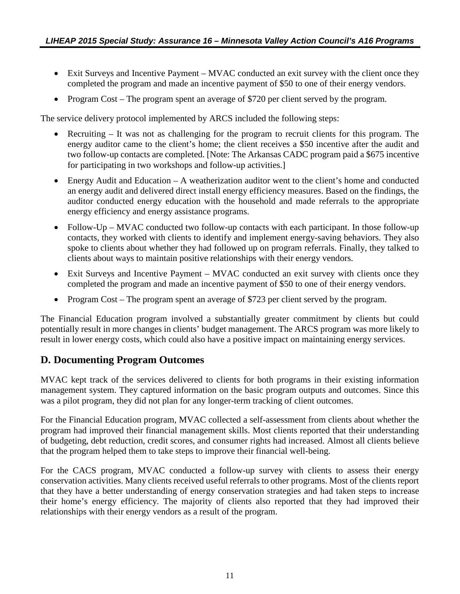- <span id="page-14-0"></span>• Exit Surveys and Incentive Payment – MVAC conducted an exit survey with the client once they completed the program and made an incentive payment of \$50 to one of their energy vendors.
- Program Cost The program spent an average of \$720 per client served by the program.

The service delivery protocol implemented by ARCS included the following steps:

- Recruiting It was not as challenging for the program to recruit clients for this program. The energy auditor came to the client's home; the client receives a \$50 incentive after the audit and two follow-up contacts are completed. [Note: The Arkansas CADC program paid a \$675 incentive for participating in two workshops and follow-up activities.]
- Energy Audit and Education  $-A$  weatherization auditor went to the client's home and conducted an energy audit and delivered direct install energy efficiency measures. Based on the findings, the auditor conducted energy education with the household and made referrals to the appropriate energy efficiency and energy assistance programs.
- Follow-Up MVAC conducted two follow-up contacts with each participant. In those follow-up contacts, they worked with clients to identify and implement energy-saving behaviors. They also spoke to clients about whether they had followed up on program referrals. Finally, they talked to clients about ways to maintain positive relationships with their energy vendors.
- Exit Surveys and Incentive Payment MVAC conducted an exit survey with clients once they completed the program and made an incentive payment of \$50 to one of their energy vendors.
- Program Cost The program spent an average of \$723 per client served by the program.

The Financial Education program involved a substantially greater commitment by clients but could potentially result in more changes in clients' budget management. The ARCS program was more likely to result in lower energy costs, which could also have a positive impact on maintaining energy services.

#### **D. Documenting Program Outcomes**

MVAC kept track of the services delivered to clients for both programs in their existing information management system. They captured information on the basic program outputs and outcomes. Since this was a pilot program, they did not plan for any longer-term tracking of client outcomes.

For the Financial Education program, MVAC collected a self-assessment from clients about whether the program had improved their financial management skills. Most clients reported that their understanding of budgeting, debt reduction, credit scores, and consumer rights had increased. Almost all clients believe that the program helped them to take steps to improve their financial well-being.

For the CACS program, MVAC conducted a follow-up survey with clients to assess their energy conservation activities. Many clients received useful referrals to other programs. Most of the clients report that they have a better understanding of energy conservation strategies and had taken steps to increase their home's energy efficiency. The majority of clients also reported that they had improved their relationships with their energy vendors as a result of the program.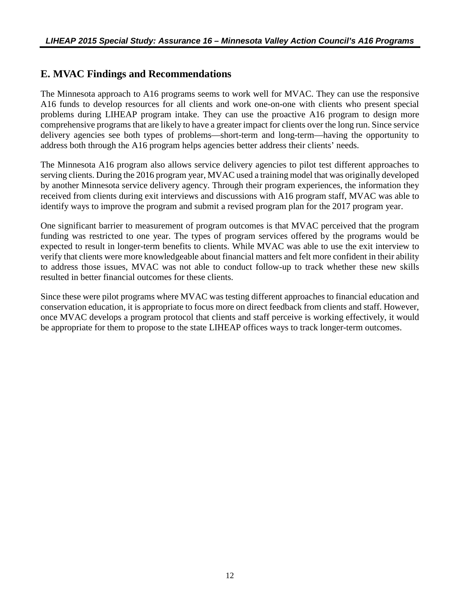#### <span id="page-15-0"></span>**E. MVAC Findings and Recommendations**

The Minnesota approach to A16 programs seems to work well for MVAC. They can use the responsive A16 funds to develop resources for all clients and work one-on-one with clients who present special problems during LIHEAP program intake. They can use the proactive A16 program to design more comprehensive programs that are likely to have a greater impact for clients over the long run. Since service delivery agencies see both types of problems—short-term and long-term—having the opportunity to address both through the A16 program helps agencies better address their clients' needs.

The Minnesota A16 program also allows service delivery agencies to pilot test different approaches to serving clients. During the 2016 program year, MVAC used a training model that was originally developed by another Minnesota service delivery agency. Through their program experiences, the information they received from clients during exit interviews and discussions with A16 program staff, MVAC was able to identify ways to improve the program and submit a revised program plan for the 2017 program year.

One significant barrier to measurement of program outcomes is that MVAC perceived that the program funding was restricted to one year. The types of program services offered by the programs would be expected to result in longer-term benefits to clients. While MVAC was able to use the exit interview to verify that clients were more knowledgeable about financial matters and felt more confident in their ability to address those issues, MVAC was not able to conduct follow-up to track whether these new skills resulted in better financial outcomes for these clients.

Since these were pilot programs where MVAC was testing different approaches to financial education and conservation education, it is appropriate to focus more on direct feedback from clients and staff. However, once MVAC develops a program protocol that clients and staff perceive is working effectively, it would be appropriate for them to propose to the state LIHEAP offices ways to track longer-term outcomes.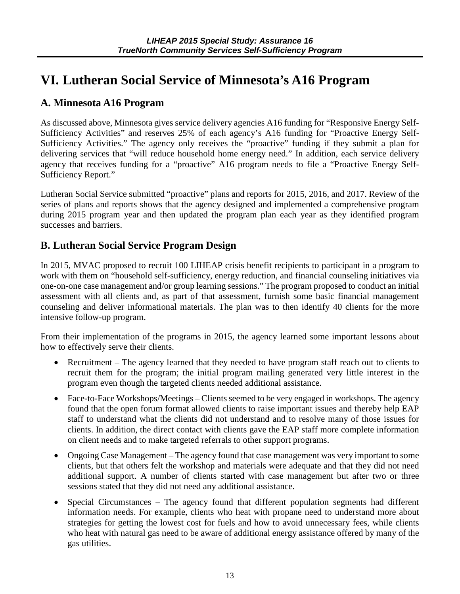# <span id="page-16-0"></span>**VI. Lutheran Social Service of Minnesota's A16 Program**

#### **A. Minnesota A16 Program**

As discussed above, Minnesota gives service delivery agencies A16 funding for "Responsive Energy Self-Sufficiency Activities" and reserves 25% of each agency's A16 funding for "Proactive Energy Self-Sufficiency Activities." The agency only receives the "proactive" funding if they submit a plan for delivering services that "will reduce household home energy need." In addition, each service delivery agency that receives funding for a "proactive" A16 program needs to file a "Proactive Energy Self-Sufficiency Report."

Lutheran Social Service submitted "proactive" plans and reports for 2015, 2016, and 2017. Review of the series of plans and reports shows that the agency designed and implemented a comprehensive program during 2015 program year and then updated the program plan each year as they identified program successes and barriers.

#### **B. Lutheran Social Service Program Design**

In 2015, MVAC proposed to recruit 100 LIHEAP crisis benefit recipients to participant in a program to work with them on "household self-sufficiency, energy reduction, and financial counseling initiatives via one-on-one case management and/or group learning sessions." The program proposed to conduct an initial assessment with all clients and, as part of that assessment, furnish some basic financial management counseling and deliver informational materials. The plan was to then identify 40 clients for the more intensive follow-up program.

From their implementation of the programs in 2015, the agency learned some important lessons about how to effectively serve their clients.

- Recruitment The agency learned that they needed to have program staff reach out to clients to recruit them for the program; the initial program mailing generated very little interest in the program even though the targeted clients needed additional assistance.
- Face-to-Face Workshops/Meetings Clients seemed to be very engaged in workshops. The agency found that the open forum format allowed clients to raise important issues and thereby help EAP staff to understand what the clients did not understand and to resolve many of those issues for clients. In addition, the direct contact with clients gave the EAP staff more complete information on client needs and to make targeted referrals to other support programs.
- Ongoing Case Management The agency found that case management was very important to some clients, but that others felt the workshop and materials were adequate and that they did not need additional support. A number of clients started with case management but after two or three sessions stated that they did not need any additional assistance.
- Special Circumstances The agency found that different population segments had different information needs. For example, clients who heat with propane need to understand more about strategies for getting the lowest cost for fuels and how to avoid unnecessary fees, while clients who heat with natural gas need to be aware of additional energy assistance offered by many of the gas utilities.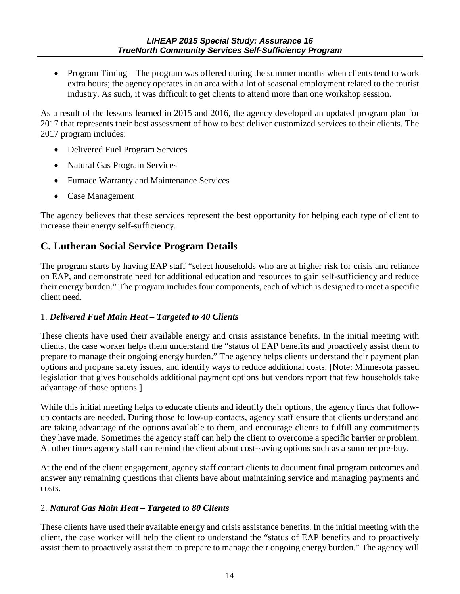<span id="page-17-0"></span>• Program Timing – The program was offered during the summer months when clients tend to work extra hours; the agency operates in an area with a lot of seasonal employment related to the tourist industry. As such, it was difficult to get clients to attend more than one workshop session.

As a result of the lessons learned in 2015 and 2016, the agency developed an updated program plan for 2017 that represents their best assessment of how to best deliver customized services to their clients. The 2017 program includes:

- Delivered Fuel Program Services
- Natural Gas Program Services
- Furnace Warranty and Maintenance Services
- Case Management

The agency believes that these services represent the best opportunity for helping each type of client to increase their energy self-sufficiency.

#### **C. Lutheran Social Service Program Details**

The program starts by having EAP staff "select households who are at higher risk for crisis and reliance on EAP, and demonstrate need for additional education and resources to gain self-sufficiency and reduce their energy burden." The program includes four components, each of which is designed to meet a specific client need.

#### 1. *Delivered Fuel Main Heat – Targeted to 40 Clients*

These clients have used their available energy and crisis assistance benefits. In the initial meeting with clients, the case worker helps them understand the "status of EAP benefits and proactively assist them to prepare to manage their ongoing energy burden." The agency helps clients understand their payment plan options and propane safety issues, and identify ways to reduce additional costs. [Note: Minnesota passed legislation that gives households additional payment options but vendors report that few households take advantage of those options.]

While this initial meeting helps to educate clients and identify their options, the agency finds that followup contacts are needed. During those follow-up contacts, agency staff ensure that clients understand and are taking advantage of the options available to them, and encourage clients to fulfill any commitments they have made. Sometimes the agency staff can help the client to overcome a specific barrier or problem. At other times agency staff can remind the client about cost-saving options such as a summer pre-buy.

At the end of the client engagement, agency staff contact clients to document final program outcomes and answer any remaining questions that clients have about maintaining service and managing payments and costs.

#### 2. *Natural Gas Main Heat – Targeted to 80 Clients*

These clients have used their available energy and crisis assistance benefits. In the initial meeting with the client, the case worker will help the client to understand the "status of EAP benefits and to proactively assist them to proactively assist them to prepare to manage their ongoing energy burden." The agency will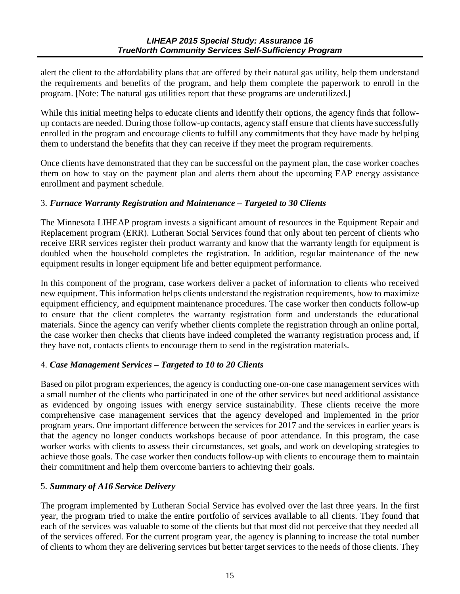alert the client to the affordability plans that are offered by their natural gas utility, help them understand the requirements and benefits of the program, and help them complete the paperwork to enroll in the program. [Note: The natural gas utilities report that these programs are underutilized.]

While this initial meeting helps to educate clients and identify their options, the agency finds that followup contacts are needed. During those follow-up contacts, agency staff ensure that clients have successfully enrolled in the program and encourage clients to fulfill any commitments that they have made by helping them to understand the benefits that they can receive if they meet the program requirements.

Once clients have demonstrated that they can be successful on the payment plan, the case worker coaches them on how to stay on the payment plan and alerts them about the upcoming EAP energy assistance enrollment and payment schedule.

#### 3. *Furnace Warranty Registration and Maintenance – Targeted to 30 Clients*

The Minnesota LIHEAP program invests a significant amount of resources in the Equipment Repair and Replacement program (ERR). Lutheran Social Services found that only about ten percent of clients who receive ERR services register their product warranty and know that the warranty length for equipment is doubled when the household completes the registration. In addition, regular maintenance of the new equipment results in longer equipment life and better equipment performance.

In this component of the program, case workers deliver a packet of information to clients who received new equipment. This information helps clients understand the registration requirements, how to maximize equipment efficiency, and equipment maintenance procedures. The case worker then conducts follow-up to ensure that the client completes the warranty registration form and understands the educational materials. Since the agency can verify whether clients complete the registration through an online portal, the case worker then checks that clients have indeed completed the warranty registration process and, if they have not, contacts clients to encourage them to send in the registration materials.

#### 4. *Case Management Services – Targeted to 10 to 20 Clients*

Based on pilot program experiences, the agency is conducting one-on-one case management services with a small number of the clients who participated in one of the other services but need additional assistance as evidenced by ongoing issues with energy service sustainability. These clients receive the more comprehensive case management services that the agency developed and implemented in the prior program years. One important difference between the services for 2017 and the services in earlier years is that the agency no longer conducts workshops because of poor attendance. In this program, the case worker works with clients to assess their circumstances, set goals, and work on developing strategies to achieve those goals. The case worker then conducts follow-up with clients to encourage them to maintain their commitment and help them overcome barriers to achieving their goals.

#### 5. *Summary of A16 Service Delivery*

The program implemented by Lutheran Social Service has evolved over the last three years. In the first year, the program tried to make the entire portfolio of services available to all clients. They found that each of the services was valuable to some of the clients but that most did not perceive that they needed all of the services offered. For the current program year, the agency is planning to increase the total number of clients to whom they are delivering services but better target services to the needs of those clients. They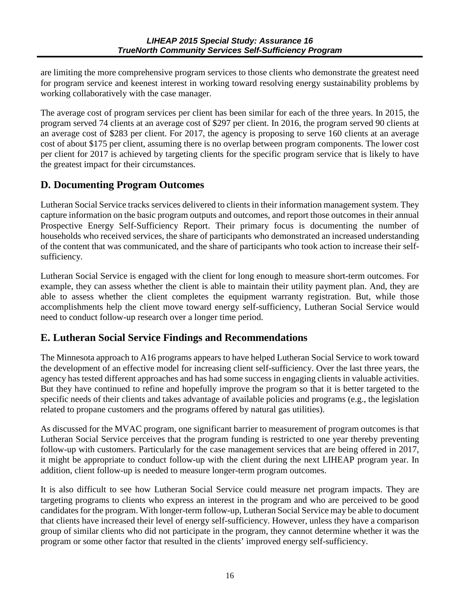<span id="page-19-0"></span>are limiting the more comprehensive program services to those clients who demonstrate the greatest need for program service and keenest interest in working toward resolving energy sustainability problems by working collaboratively with the case manager.

The average cost of program services per client has been similar for each of the three years. In 2015, the program served 74 clients at an average cost of \$297 per client. In 2016, the program served 90 clients at an average cost of \$283 per client. For 2017, the agency is proposing to serve 160 clients at an average cost of about \$175 per client, assuming there is no overlap between program components. The lower cost per client for 2017 is achieved by targeting clients for the specific program service that is likely to have the greatest impact for their circumstances.

#### **D. Documenting Program Outcomes**

Lutheran Social Service tracks services delivered to clients in their information management system. They capture information on the basic program outputs and outcomes, and report those outcomes in their annual Prospective Energy Self-Sufficiency Report. Their primary focus is documenting the number of households who received services, the share of participants who demonstrated an increased understanding of the content that was communicated, and the share of participants who took action to increase their selfsufficiency.

Lutheran Social Service is engaged with the client for long enough to measure short-term outcomes. For example, they can assess whether the client is able to maintain their utility payment plan. And, they are able to assess whether the client completes the equipment warranty registration. But, while those accomplishments help the client move toward energy self-sufficiency, Lutheran Social Service would need to conduct follow-up research over a longer time period.

#### **E. Lutheran Social Service Findings and Recommendations**

The Minnesota approach to A16 programs appears to have helped Lutheran Social Service to work toward the development of an effective model for increasing client self-sufficiency. Over the last three years, the agency has tested different approaches and has had some success in engaging clients in valuable activities. But they have continued to refine and hopefully improve the program so that it is better targeted to the specific needs of their clients and takes advantage of available policies and programs (e.g., the legislation related to propane customers and the programs offered by natural gas utilities).

As discussed for the MVAC program, one significant barrier to measurement of program outcomes is that Lutheran Social Service perceives that the program funding is restricted to one year thereby preventing follow-up with customers. Particularly for the case management services that are being offered in 2017, it might be appropriate to conduct follow-up with the client during the next LIHEAP program year. In addition, client follow-up is needed to measure longer-term program outcomes.

It is also difficult to see how Lutheran Social Service could measure net program impacts. They are targeting programs to clients who express an interest in the program and who are perceived to be good candidates for the program. With longer-term follow-up, Lutheran Social Service may be able to document that clients have increased their level of energy self-sufficiency. However, unless they have a comparison group of similar clients who did not participate in the program, they cannot determine whether it was the program or some other factor that resulted in the clients' improved energy self-sufficiency.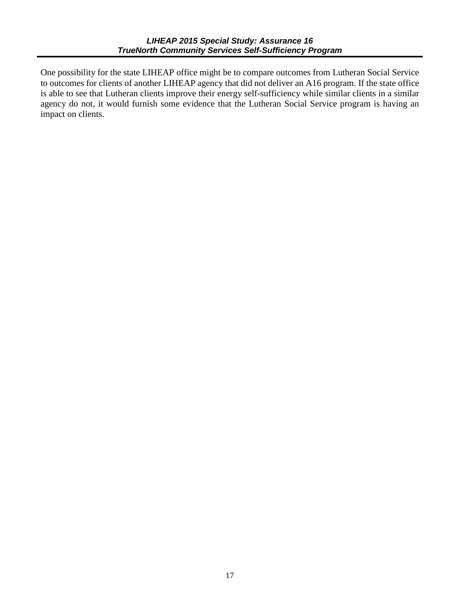One possibility for the state LIHEAP office might be to compare outcomes from Lutheran Social Service to outcomes for clients of another LIHEAP agency that did not deliver an A16 program. If the state office is able to see that Lutheran clients improve their energy self-sufficiency while similar clients in a similar agency do not, it would furnish some evidence that the Lutheran Social Service program is having an impact on clients.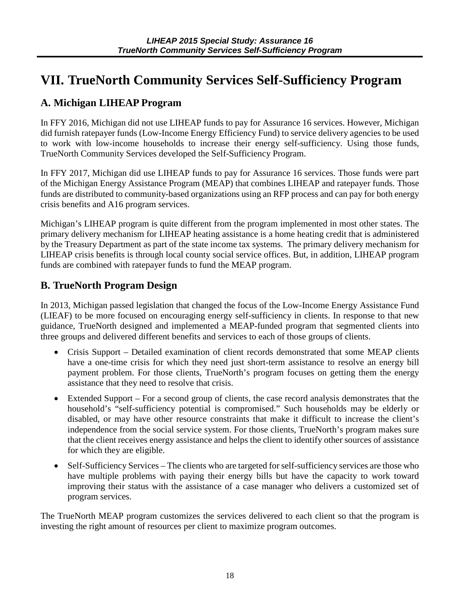# <span id="page-21-0"></span>**VII. TrueNorth Community Services Self-Sufficiency Program**

#### **A. Michigan LIHEAP Program**

In FFY 2016, Michigan did not use LIHEAP funds to pay for Assurance 16 services. However, Michigan did furnish ratepayer funds (Low-Income Energy Efficiency Fund) to service delivery agencies to be used to work with low-income households to increase their energy self-sufficiency. Using those funds, TrueNorth Community Services developed the Self-Sufficiency Program.

In FFY 2017, Michigan did use LIHEAP funds to pay for Assurance 16 services. Those funds were part of the Michigan Energy Assistance Program (MEAP) that combines LIHEAP and ratepayer funds. Those funds are distributed to community-based organizations using an RFP process and can pay for both energy crisis benefits and A16 program services.

Michigan's LIHEAP program is quite different from the program implemented in most other states. The primary delivery mechanism for LIHEAP heating assistance is a home heating credit that is administered by the Treasury Department as part of the state income tax systems. The primary delivery mechanism for LIHEAP crisis benefits is through local county social service offices. But, in addition, LIHEAP program funds are combined with ratepayer funds to fund the MEAP program.

#### **B. TrueNorth Program Design**

In 2013, Michigan passed legislation that changed the focus of the Low-Income Energy Assistance Fund (LIEAF) to be more focused on encouraging energy self-sufficiency in clients. In response to that new guidance, TrueNorth designed and implemented a MEAP-funded program that segmented clients into three groups and delivered different benefits and services to each of those groups of clients.

- Crisis Support Detailed examination of client records demonstrated that some MEAP clients have a one-time crisis for which they need just short-term assistance to resolve an energy bill payment problem. For those clients, TrueNorth's program focuses on getting them the energy assistance that they need to resolve that crisis.
- Extended Support For a second group of clients, the case record analysis demonstrates that the household's "self-sufficiency potential is compromised." Such households may be elderly or disabled, or may have other resource constraints that make it difficult to increase the client's independence from the social service system. For those clients, TrueNorth's program makes sure that the client receives energy assistance and helps the client to identify other sources of assistance for which they are eligible.
- Self-Sufficiency Services The clients who are targeted for self-sufficiency services are those who have multiple problems with paying their energy bills but have the capacity to work toward improving their status with the assistance of a case manager who delivers a customized set of program services.

The TrueNorth MEAP program customizes the services delivered to each client so that the program is investing the right amount of resources per client to maximize program outcomes.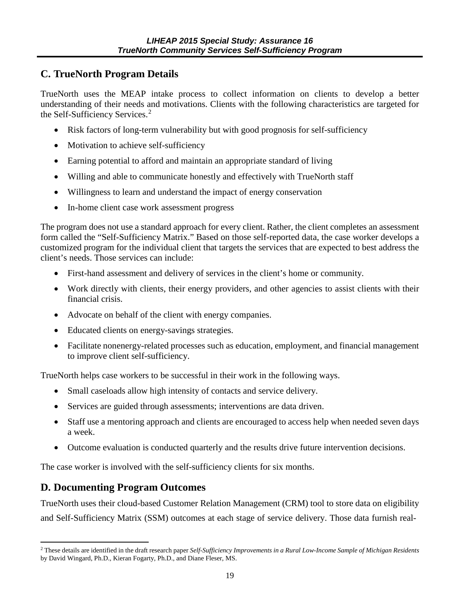#### <span id="page-22-0"></span>**C. TrueNorth Program Details**

TrueNorth uses the MEAP intake process to collect information on clients to develop a better understanding of their needs and motivations. Clients with the following characteristics are targeted for the Self-Sufficiency Services.<sup>[2](#page-22-1)</sup>

- Risk factors of long-term vulnerability but with good prognosis for self-sufficiency
- Motivation to achieve self-sufficiency
- Earning potential to afford and maintain an appropriate standard of living
- Willing and able to communicate honestly and effectively with TrueNorth staff
- Willingness to learn and understand the impact of energy conservation
- In-home client case work assessment progress

The program does not use a standard approach for every client. Rather, the client completes an assessment form called the "Self-Sufficiency Matrix." Based on those self-reported data, the case worker develops a customized program for the individual client that targets the services that are expected to best address the client's needs. Those services can include:

- First-hand assessment and delivery of services in the client's home or community.
- Work directly with clients, their energy providers, and other agencies to assist clients with their financial crisis.
- Advocate on behalf of the client with energy companies.
- Educated clients on energy-savings strategies.
- Facilitate nonenergy-related processes such as education, employment, and financial management to improve client self-sufficiency.

TrueNorth helps case workers to be successful in their work in the following ways.

- Small caseloads allow high intensity of contacts and service delivery.
- Services are guided through assessments; interventions are data driven.
- Staff use a mentoring approach and clients are encouraged to access help when needed seven days a week.
- Outcome evaluation is conducted quarterly and the results drive future intervention decisions.

The case worker is involved with the self-sufficiency clients for six months.

#### **D. Documenting Program Outcomes**

TrueNorth uses their cloud-based Customer Relation Management (CRM) tool to store data on eligibility and Self-Sufficiency Matrix (SSM) outcomes at each stage of service delivery. Those data furnish real-

<span id="page-22-1"></span><sup>2</sup> These details are identified in the draft research paper *Self-Sufficiency Improvements in a Rural Low-Income Sample of Michigan Residents*  by David Wingard, Ph.D., Kieran Fogarty, Ph.D., and Diane Fleser, MS.  $\overline{a}$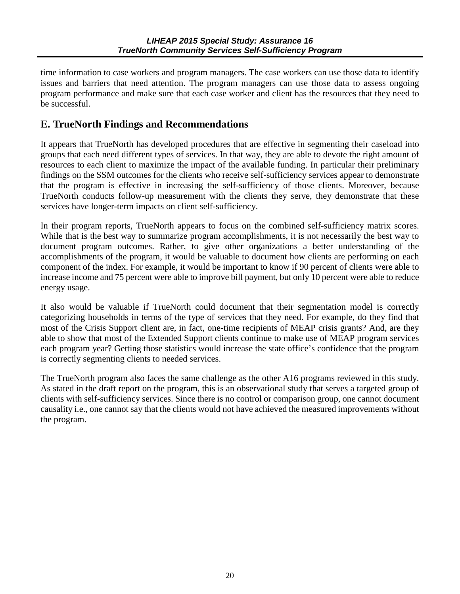<span id="page-23-0"></span>time information to case workers and program managers. The case workers can use those data to identify issues and barriers that need attention. The program managers can use those data to assess ongoing program performance and make sure that each case worker and client has the resources that they need to be successful.

#### **E. TrueNorth Findings and Recommendations**

It appears that TrueNorth has developed procedures that are effective in segmenting their caseload into groups that each need different types of services. In that way, they are able to devote the right amount of resources to each client to maximize the impact of the available funding. In particular their preliminary findings on the SSM outcomes for the clients who receive self-sufficiency services appear to demonstrate that the program is effective in increasing the self-sufficiency of those clients. Moreover, because TrueNorth conducts follow-up measurement with the clients they serve, they demonstrate that these services have longer-term impacts on client self-sufficiency.

In their program reports, TrueNorth appears to focus on the combined self-sufficiency matrix scores. While that is the best way to summarize program accomplishments, it is not necessarily the best way to document program outcomes. Rather, to give other organizations a better understanding of the accomplishments of the program, it would be valuable to document how clients are performing on each component of the index. For example, it would be important to know if 90 percent of clients were able to increase income and 75 percent were able to improve bill payment, but only 10 percent were able to reduce energy usage.

It also would be valuable if TrueNorth could document that their segmentation model is correctly categorizing households in terms of the type of services that they need. For example, do they find that most of the Crisis Support client are, in fact, one-time recipients of MEAP crisis grants? And, are they able to show that most of the Extended Support clients continue to make use of MEAP program services each program year? Getting those statistics would increase the state office's confidence that the program is correctly segmenting clients to needed services.

The TrueNorth program also faces the same challenge as the other A16 programs reviewed in this study. As stated in the draft report on the program, this is an observational study that serves a targeted group of clients with self-sufficiency services. Since there is no control or comparison group, one cannot document causality i.e., one cannot say that the clients would not have achieved the measured improvements without the program.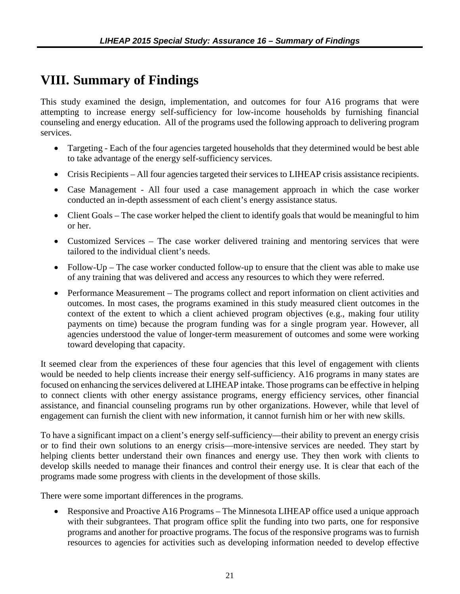# <span id="page-24-0"></span>**VIII. Summary of Findings**

This study examined the design, implementation, and outcomes for four A16 programs that were attempting to increase energy self-sufficiency for low-income households by furnishing financial counseling and energy education. All of the programs used the following approach to delivering program services.

- Targeting Each of the four agencies targeted households that they determined would be best able to take advantage of the energy self-sufficiency services.
- Crisis Recipients All four agencies targeted their services to LIHEAP crisis assistance recipients.
- Case Management All four used a case management approach in which the case worker conducted an in-depth assessment of each client's energy assistance status.
- Client Goals The case worker helped the client to identify goals that would be meaningful to him or her.
- Customized Services The case worker delivered training and mentoring services that were tailored to the individual client's needs.
- Follow-Up The case worker conducted follow-up to ensure that the client was able to make use of any training that was delivered and access any resources to which they were referred.
- Performance Measurement The programs collect and report information on client activities and outcomes. In most cases, the programs examined in this study measured client outcomes in the context of the extent to which a client achieved program objectives (e.g., making four utility payments on time) because the program funding was for a single program year. However, all agencies understood the value of longer-term measurement of outcomes and some were working toward developing that capacity.

It seemed clear from the experiences of these four agencies that this level of engagement with clients would be needed to help clients increase their energy self-sufficiency. A16 programs in many states are focused on enhancing the services delivered at LIHEAP intake. Those programs can be effective in helping to connect clients with other energy assistance programs, energy efficiency services, other financial assistance, and financial counseling programs run by other organizations. However, while that level of engagement can furnish the client with new information, it cannot furnish him or her with new skills.

To have a significant impact on a client's energy self-sufficiency—their ability to prevent an energy crisis or to find their own solutions to an energy crisis—more-intensive services are needed. They start by helping clients better understand their own finances and energy use. They then work with clients to develop skills needed to manage their finances and control their energy use. It is clear that each of the programs made some progress with clients in the development of those skills.

There were some important differences in the programs.

• Responsive and Proactive A16 Programs – The Minnesota LIHEAP office used a unique approach with their subgrantees. That program office split the funding into two parts, one for responsive programs and another for proactive programs. The focus of the responsive programs was to furnish resources to agencies for activities such as developing information needed to develop effective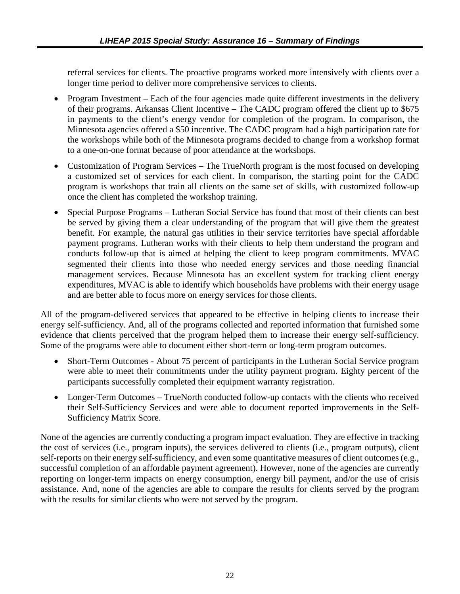referral services for clients. The proactive programs worked more intensively with clients over a longer time period to deliver more comprehensive services to clients.

- Program Investment Each of the four agencies made quite different investments in the delivery of their programs. Arkansas Client Incentive – The CADC program offered the client up to \$675 in payments to the client's energy vendor for completion of the program. In comparison, the Minnesota agencies offered a \$50 incentive. The CADC program had a high participation rate for the workshops while both of the Minnesota programs decided to change from a workshop format to a one-on-one format because of poor attendance at the workshops.
- Customization of Program Services The TrueNorth program is the most focused on developing a customized set of services for each client. In comparison, the starting point for the CADC program is workshops that train all clients on the same set of skills, with customized follow-up once the client has completed the workshop training.
- Special Purpose Programs Lutheran Social Service has found that most of their clients can best be served by giving them a clear understanding of the program that will give them the greatest benefit. For example, the natural gas utilities in their service territories have special affordable payment programs. Lutheran works with their clients to help them understand the program and conducts follow-up that is aimed at helping the client to keep program commitments. MVAC segmented their clients into those who needed energy services and those needing financial management services. Because Minnesota has an excellent system for tracking client energy expenditures, MVAC is able to identify which households have problems with their energy usage and are better able to focus more on energy services for those clients.

All of the program-delivered services that appeared to be effective in helping clients to increase their energy self-sufficiency. And, all of the programs collected and reported information that furnished some evidence that clients perceived that the program helped them to increase their energy self-sufficiency. Some of the programs were able to document either short-term or long-term program outcomes.

- Short-Term Outcomes About 75 percent of participants in the Lutheran Social Service program were able to meet their commitments under the utility payment program. Eighty percent of the participants successfully completed their equipment warranty registration.
- Longer-Term Outcomes TrueNorth conducted follow-up contacts with the clients who received their Self-Sufficiency Services and were able to document reported improvements in the Self-Sufficiency Matrix Score.

None of the agencies are currently conducting a program impact evaluation. They are effective in tracking the cost of services (i.e., program inputs), the services delivered to clients (i.e., program outputs), client self-reports on their energy self-sufficiency, and even some quantitative measures of client outcomes (e.g., successful completion of an affordable payment agreement). However, none of the agencies are currently reporting on longer-term impacts on energy consumption, energy bill payment, and/or the use of crisis assistance. And, none of the agencies are able to compare the results for clients served by the program with the results for similar clients who were not served by the program.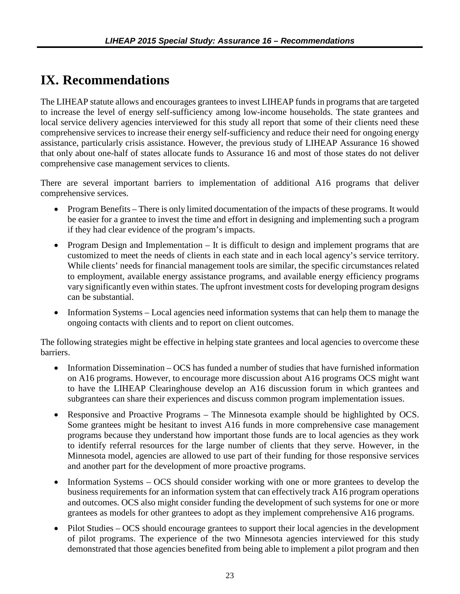# <span id="page-26-0"></span>**IX. Recommendations**

The LIHEAP statute allows and encourages grantees to invest LIHEAP funds in programs that are targeted to increase the level of energy self-sufficiency among low-income households. The state grantees and local service delivery agencies interviewed for this study all report that some of their clients need these comprehensive services to increase their energy self-sufficiency and reduce their need for ongoing energy assistance, particularly crisis assistance. However, the previous study of LIHEAP Assurance 16 showed that only about one-half of states allocate funds to Assurance 16 and most of those states do not deliver comprehensive case management services to clients.

There are several important barriers to implementation of additional A16 programs that deliver comprehensive services.

- Program Benefits There is only limited documentation of the impacts of these programs. It would be easier for a grantee to invest the time and effort in designing and implementing such a program if they had clear evidence of the program's impacts.
- Program Design and Implementation It is difficult to design and implement programs that are customized to meet the needs of clients in each state and in each local agency's service territory. While clients' needs for financial management tools are similar, the specific circumstances related to employment, available energy assistance programs, and available energy efficiency programs vary significantly even within states. The upfront investment costs for developing program designs can be substantial.
- Information Systems Local agencies need information systems that can help them to manage the ongoing contacts with clients and to report on client outcomes.

The following strategies might be effective in helping state grantees and local agencies to overcome these barriers.

- Information Dissemination OCS has funded a number of studies that have furnished information on A16 programs. However, to encourage more discussion about A16 programs OCS might want to have the LIHEAP Clearinghouse develop an A16 discussion forum in which grantees and subgrantees can share their experiences and discuss common program implementation issues.
- Responsive and Proactive Programs The Minnesota example should be highlighted by OCS. Some grantees might be hesitant to invest A16 funds in more comprehensive case management programs because they understand how important those funds are to local agencies as they work to identify referral resources for the large number of clients that they serve. However, in the Minnesota model, agencies are allowed to use part of their funding for those responsive services and another part for the development of more proactive programs.
- Information Systems OCS should consider working with one or more grantees to develop the business requirements for an information system that can effectively track A16 program operations and outcomes. OCS also might consider funding the development of such systems for one or more grantees as models for other grantees to adopt as they implement comprehensive A16 programs.
- Pilot Studies OCS should encourage grantees to support their local agencies in the development of pilot programs. The experience of the two Minnesota agencies interviewed for this study demonstrated that those agencies benefited from being able to implement a pilot program and then